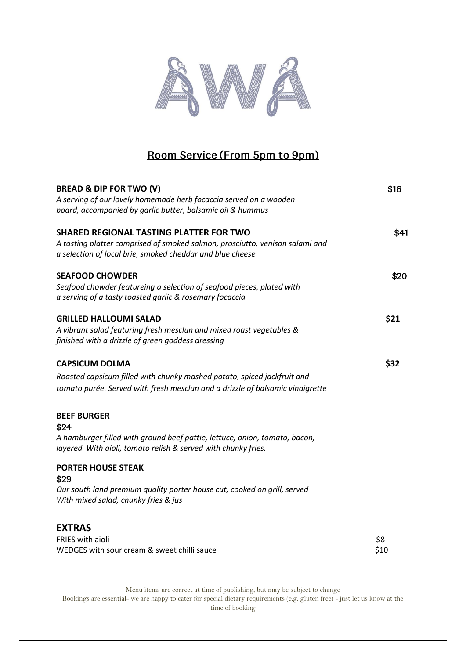

## Room Service (From 5pm to 9pm)

| <b>BREAD &amp; DIP FOR TWO (V)</b><br>A serving of our lovely homemade herb focaccia served on a wooden<br>board, accompanied by garlic butter, balsamic oil & hummus                                                                                                                                                              | \$16        |
|------------------------------------------------------------------------------------------------------------------------------------------------------------------------------------------------------------------------------------------------------------------------------------------------------------------------------------|-------------|
| <b>SHARED REGIONAL TASTING PLATTER FOR TWO</b><br>A tasting platter comprised of smoked salmon, prosciutto, venison salami and<br>a selection of local brie, smoked cheddar and blue cheese                                                                                                                                        | \$41        |
| <b>SEAFOOD CHOWDER</b><br>Seafood chowder featureing a selection of seafood pieces, plated with<br>a serving of a tasty toasted garlic & rosemary focaccia                                                                                                                                                                         | \$20        |
| <b>GRILLED HALLOUMI SALAD</b><br>A vibrant salad featuring fresh mesclun and mixed roast vegetables &<br>finished with a drizzle of green goddess dressing                                                                                                                                                                         | \$21        |
| <b>CAPSICUM DOLMA</b><br>Roasted capsicum filled with chunky mashed potato, spiced jackfruit and<br>tomato purée. Served with fresh mesclun and a drizzle of balsamic vinaigrette                                                                                                                                                  | \$32        |
| <b>BEEF BURGER</b><br>\$24<br>A hamburger filled with ground beef pattie, lettuce, onion, tomato, bacon,<br>layered With aioli, tomato relish & served with chunky fries.<br><b>PORTER HOUSE STEAK</b><br>\$29<br>Our south land premium quality porter house cut, cooked on grill, served<br>With mixed salad, chunky fries & jus |             |
| <b>EXTRAS</b><br><b>FRIES</b> with aioli<br>WEDGES with sour cream & sweet chilli sauce                                                                                                                                                                                                                                            | \$8<br>\$10 |

Menu items are correct at time of publishing, but may be subject to change Bookings are essential- we are happy to cater for special dietary requirements (e.g. gluten free) - just let us know at the time of booking